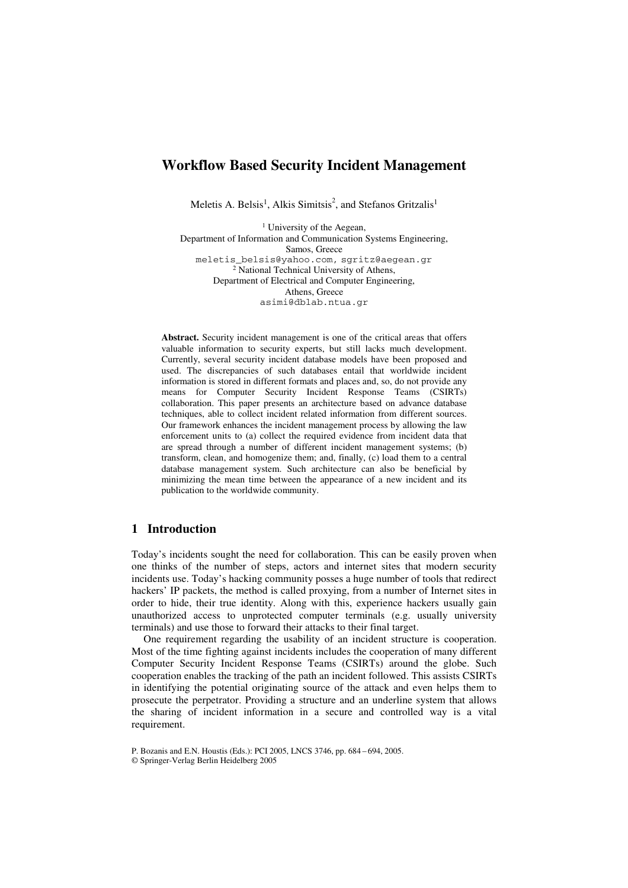# **Workflow Based Security Incident Management**

Meletis A. Belsis<sup>1</sup>, Alkis Simitsis<sup>2</sup>, and Stefanos Gritzalis<sup>1</sup>

<sup>1</sup> University of the Aegean, Department of Information and Communication Systems Engineering, Samos, Greece meletis\_belsis@yahoo.com, sgritz@aegean.gr 2 National Technical University of Athens, Department of Electrical and Computer Engineering, Athens, Greece asimi@dblab.ntua.gr

**Abstract.** Security incident management is one of the critical areas that offers valuable information to security experts, but still lacks much development. Currently, several security incident database models have been proposed and used. The discrepancies of such databases entail that worldwide incident information is stored in different formats and places and, so, do not provide any means for Computer Security Incident Response Teams (CSIRTs) collaboration. This paper presents an architecture based on advance database techniques, able to collect incident related information from different sources. Our framework enhances the incident management process by allowing the law enforcement units to (a) collect the required evidence from incident data that are spread through a number of different incident management systems; (b) transform, clean, and homogenize them; and, finally, (c) load them to a central database management system. Such architecture can also be beneficial by minimizing the mean time between the appearance of a new incident and its publication to the worldwide community.

# **1 Introduction**

Today's incidents sought the need for collaboration. This can be easily proven when one thinks of the number of steps, actors and internet sites that modern security incidents use. Today's hacking community posses a huge number of tools that redirect hackers' IP packets, the method is called proxying, from a number of Internet sites in order to hide, their true identity. Along with this, experience hackers usually gain unauthorized access to unprotected computer terminals (e.g. usually university terminals) and use those to forward their attacks to their final target.

One requirement regarding the usability of an incident structure is cooperation. Most of the time fighting against incidents includes the cooperation of many different Computer Security Incident Response Teams (CSIRTs) around the globe. Such cooperation enables the tracking of the path an incident followed. This assists CSIRTs in identifying the potential originating source of the attack and even helps them to prosecute the perpetrator. Providing a structure and an underline system that allows the sharing of incident information in a secure and controlled way is a vital requirement.

P. Bozanis and E.N. Houstis (Eds.): PCI 2005, LNCS 3746, pp. 684 – 694, 2005.

<sup>©</sup> Springer-Verlag Berlin Heidelberg 2005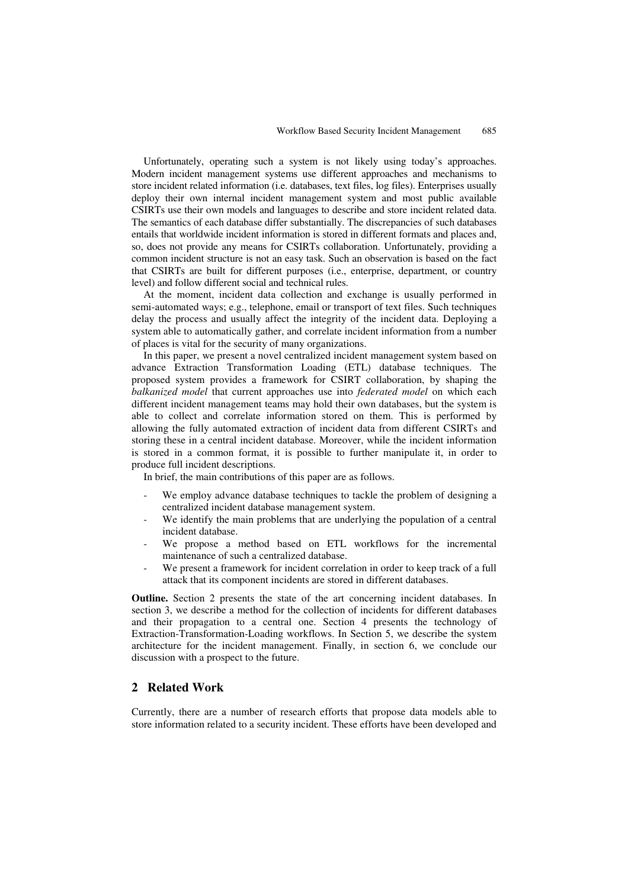Unfortunately, operating such a system is not likely using today's approaches. Modern incident management systems use different approaches and mechanisms to store incident related information (i.e. databases, text files, log files). Enterprises usually deploy their own internal incident management system and most public available CSIRTs use their own models and languages to describe and store incident related data. The semantics of each database differ substantially. The discrepancies of such databases entails that worldwide incident information is stored in different formats and places and, so, does not provide any means for CSIRTs collaboration. Unfortunately, providing a common incident structure is not an easy task. Such an observation is based on the fact that CSIRTs are built for different purposes (i.e., enterprise, department, or country level) and follow different social and technical rules.

At the moment, incident data collection and exchange is usually performed in semi-automated ways; e.g., telephone, email or transport of text files. Such techniques delay the process and usually affect the integrity of the incident data. Deploying a system able to automatically gather, and correlate incident information from a number of places is vital for the security of many organizations.

In this paper, we present a novel centralized incident management system based on advance Extraction Transformation Loading (ETL) database techniques. The proposed system provides a framework for CSIRT collaboration, by shaping the *balkanized model* that current approaches use into *federated model* on which each different incident management teams may hold their own databases, but the system is able to collect and correlate information stored on them. This is performed by allowing the fully automated extraction of incident data from different CSIRTs and storing these in a central incident database. Moreover, while the incident information is stored in a common format, it is possible to further manipulate it, in order to produce full incident descriptions.

In brief, the main contributions of this paper are as follows.

- We employ advance database techniques to tackle the problem of designing a centralized incident database management system.
- We identify the main problems that are underlying the population of a central incident database.
- We propose a method based on ETL workflows for the incremental maintenance of such a centralized database.
- We present a framework for incident correlation in order to keep track of a full attack that its component incidents are stored in different databases.

**Outline.** Section 2 presents the state of the art concerning incident databases. In section 3, we describe a method for the collection of incidents for different databases and their propagation to a central one. Section 4 presents the technology of Extraction-Transformation-Loading workflows. In Section 5, we describe the system architecture for the incident management. Finally, in section 6, we conclude our discussion with a prospect to the future.

## **2 Related Work**

Currently, there are a number of research efforts that propose data models able to store information related to a security incident. These efforts have been developed and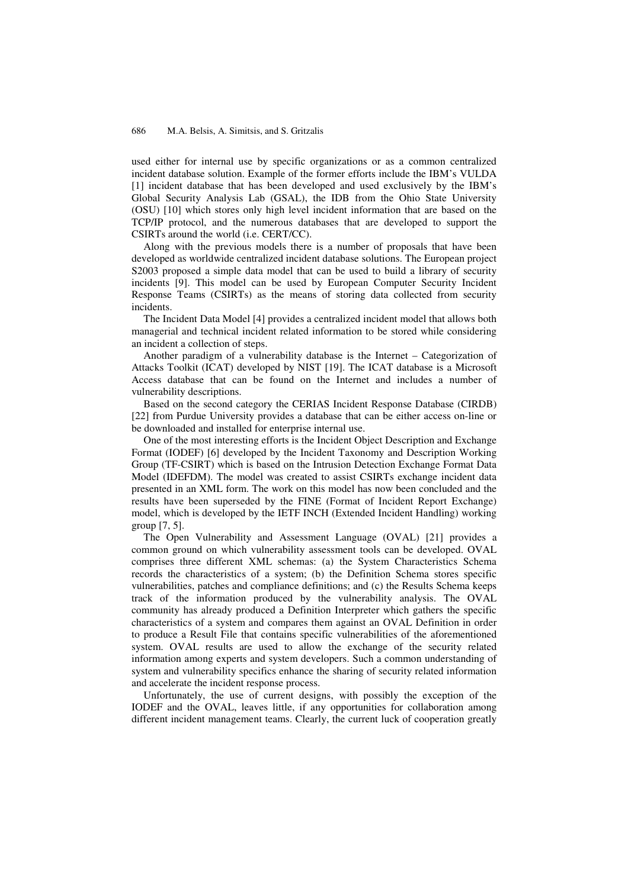used either for internal use by specific organizations or as a common centralized incident database solution. Example of the former efforts include the IBM's VULDA [1] incident database that has been developed and used exclusively by the IBM's Global Security Analysis Lab (GSAL), the IDB from the Ohio State University (OSU) [10] which stores only high level incident information that are based on the TCP/IP protocol, and the numerous databases that are developed to support the CSIRTs around the world (i.e. CERT/CC).

Along with the previous models there is a number of proposals that have been developed as worldwide centralized incident database solutions. The European project S2003 proposed a simple data model that can be used to build a library of security incidents [9]. This model can be used by European Computer Security Incident Response Teams (CSIRTs) as the means of storing data collected from security incidents.

The Incident Data Model [4] provides a centralized incident model that allows both managerial and technical incident related information to be stored while considering an incident a collection of steps.

Another paradigm of a vulnerability database is the Internet – Categorization of Attacks Toolkit (ICAT) developed by NIST [19]. The ICAT database is a Microsoft Access database that can be found on the Internet and includes a number of vulnerability descriptions.

Based on the second category the CERIAS Incident Response Database (CIRDB) [22] from Purdue University provides a database that can be either access on-line or be downloaded and installed for enterprise internal use.

One of the most interesting efforts is the Incident Object Description and Exchange Format (IODEF) [6] developed by the Incident Taxonomy and Description Working Group (TF-CSIRT) which is based on the Intrusion Detection Exchange Format Data Model (IDEFDM). The model was created to assist CSIRTs exchange incident data presented in an XML form. The work on this model has now been concluded and the results have been superseded by the FINE (Format of Incident Report Exchange) model, which is developed by the IETF INCH (Extended Incident Handling) working group [7, 5].

The Open Vulnerability and Assessment Language (OVAL) [21] provides a common ground on which vulnerability assessment tools can be developed. OVAL comprises three different XML schemas: (a) the System Characteristics Schema records the characteristics of a system; (b) the Definition Schema stores specific vulnerabilities, patches and compliance definitions; and (c) the Results Schema keeps track of the information produced by the vulnerability analysis. The OVAL community has already produced a Definition Interpreter which gathers the specific characteristics of a system and compares them against an OVAL Definition in order to produce a Result File that contains specific vulnerabilities of the aforementioned system. OVAL results are used to allow the exchange of the security related information among experts and system developers. Such a common understanding of system and vulnerability specifics enhance the sharing of security related information and accelerate the incident response process.

Unfortunately, the use of current designs, with possibly the exception of the IODEF and the OVAL, leaves little, if any opportunities for collaboration among different incident management teams. Clearly, the current luck of cooperation greatly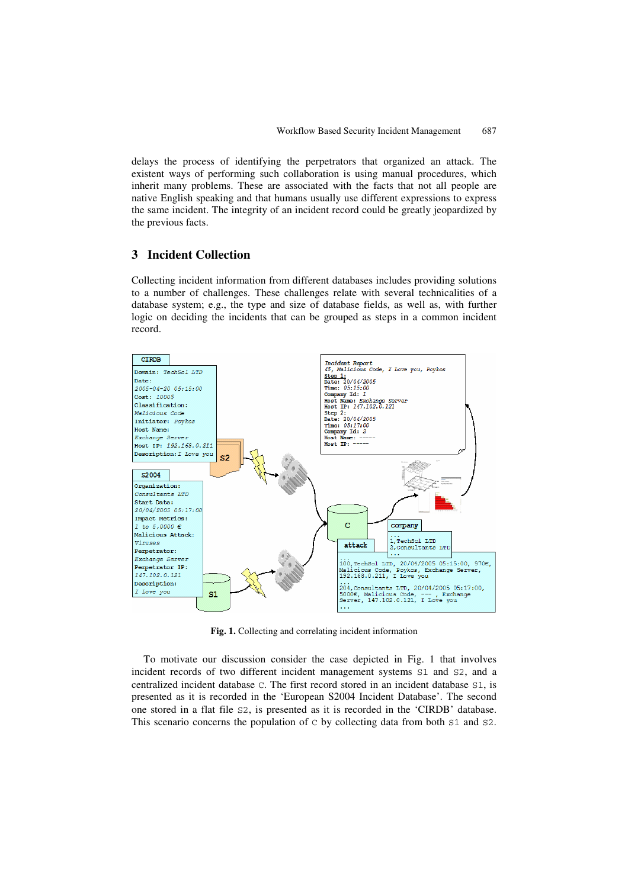delays the process of identifying the perpetrators that organized an attack. The existent ways of performing such collaboration is using manual procedures, which inherit many problems. These are associated with the facts that not all people are native English speaking and that humans usually use different expressions to express the same incident. The integrity of an incident record could be greatly jeopardized by the previous facts.

### **3 Incident Collection**

Collecting incident information from different databases includes providing solutions to a number of challenges. These challenges relate with several technicalities of a database system; e.g., the type and size of database fields, as well as, with further logic on deciding the incidents that can be grouped as steps in a common incident record.



**Fig. 1.** Collecting and correlating incident information

To motivate our discussion consider the case depicted in Fig. 1 that involves incident records of two different incident management systems S1 and S2, and a centralized incident database C. The first record stored in an incident database S1, is presented as it is recorded in the 'European S2004 Incident Database'. The second one stored in a flat file S2, is presented as it is recorded in the 'CIRDB' database. This scenario concerns the population of C by collecting data from both  $\mathfrak{S}1$  and  $\mathfrak{S}2$ .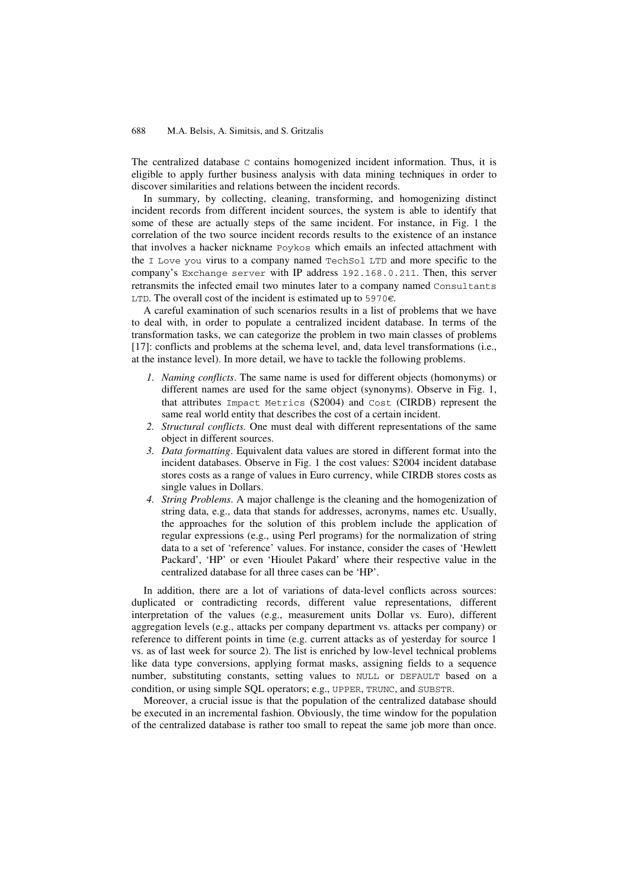#### 688 M.A. Belsis, A. Simitsis, and S. Gritzalis

The centralized database C contains homogenized incident information. Thus, it is eligible to apply further business analysis with data mining techniques in order to discover similarities and relations between the incident records.

In summary, by collecting, cleaning, transforming, and homogenizing distinct incident records from different incident sources, the system is able to identify that some of these are actually steps of the same incident. For instance, in Fig. 1 the correlation of the two source incident records results to the existence of an instance that involves a hacker nickname Poykos which emails an infected attachment with the I Love you virus to a company named TechSol LTD and more specific to the company's Exchange server with IP address 192.168.0.211. Then, this server retransmits the infected email two minutes later to a company named Consultants LTD. The overall cost of the incident is estimated up to 5970 $\varepsilon$ .

A careful examination of such scenarios results in a list of problems that we have to deal with, in order to populate a centralized incident database. In terms of the transformation tasks, we can categorize the problem in two main classes of problems [17]: conflicts and problems at the schema level, and, data level transformations (i.e., at the instance level). In more detail, we have to tackle the following problems.

- *1. Naming conflicts*. The same name is used for different objects (homonyms) or different names are used for the same object (synonyms). Observe in Fig. 1, that attributes Impact Metrics (S2004) and Cost (CIRDB) represent the same real world entity that describes the cost of a certain incident.
- *2. Structural conflicts.* One must deal with different representations of the same object in different sources.
- *3. Data formatting*. Equivalent data values are stored in different format into the incident databases. Observe in Fig. 1 the cost values: S2004 incident database stores costs as a range of values in Euro currency, while CIRDB stores costs as single values in Dollars.
- *4. String Problems*. A major challenge is the cleaning and the homogenization of string data, e.g., data that stands for addresses, acronyms, names etc. Usually, the approaches for the solution of this problem include the application of regular expressions (e.g., using Perl programs) for the normalization of string data to a set of 'reference' values. For instance, consider the cases of 'Hewlett Packard', 'HP' or even 'Hioulet Pakard' where their respective value in the centralized database for all three cases can be 'HP'.

In addition, there are a lot of variations of data-level conflicts across sources: duplicated or contradicting records, different value representations, different interpretation of the values (e.g., measurement units Dollar vs. Euro), different aggregation levels (e.g., attacks per company department vs. attacks per company) or reference to different points in time (e.g. current attacks as of yesterday for source 1 vs. as of last week for source 2). The list is enriched by low-level technical problems like data type conversions, applying format masks, assigning fields to a sequence number, substituting constants, setting values to NULL or DEFAULT based on a condition, or using simple SQL operators; e.g., UPPER, TRUNC, and SUBSTR.

Moreover, a crucial issue is that the population of the centralized database should be executed in an incremental fashion. Obviously, the time window for the population of the centralized database is rather too small to repeat the same job more than once.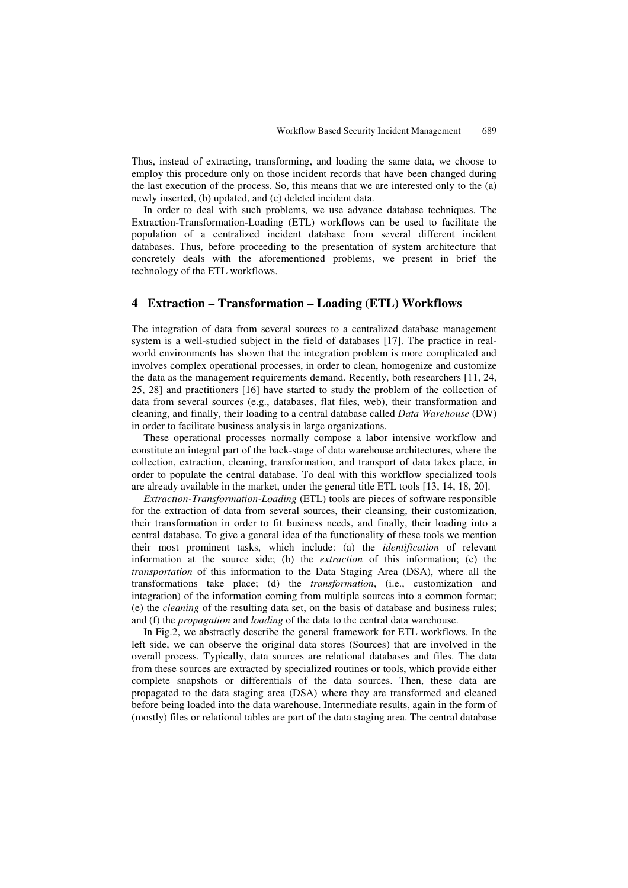Thus, instead of extracting, transforming, and loading the same data, we choose to employ this procedure only on those incident records that have been changed during the last execution of the process. So, this means that we are interested only to the (a) newly inserted, (b) updated, and (c) deleted incident data.

In order to deal with such problems, we use advance database techniques. The Extraction-Transformation-Loading (ETL) workflows can be used to facilitate the population of a centralized incident database from several different incident databases. Thus, before proceeding to the presentation of system architecture that concretely deals with the aforementioned problems, we present in brief the technology of the ETL workflows.

### **4 Extraction – Transformation – Loading (ETL) Workflows**

The integration of data from several sources to a centralized database management system is a well-studied subject in the field of databases [17]. The practice in realworld environments has shown that the integration problem is more complicated and involves complex operational processes, in order to clean, homogenize and customize the data as the management requirements demand. Recently, both researchers [11, 24, 25, 28] and practitioners [16] have started to study the problem of the collection of data from several sources (e.g., databases, flat files, web), their transformation and cleaning, and finally, their loading to a central database called *Data Warehouse* (DW) in order to facilitate business analysis in large organizations.

These operational processes normally compose a labor intensive workflow and constitute an integral part of the back-stage of data warehouse architectures, where the collection, extraction, cleaning, transformation, and transport of data takes place, in order to populate the central database. To deal with this workflow specialized tools are already available in the market, under the general title ETL tools [13, 14, 18, 20].

*Extraction-Transformation-Loading* (ETL) tools are pieces of software responsible for the extraction of data from several sources, their cleansing, their customization, their transformation in order to fit business needs, and finally, their loading into a central database. To give a general idea of the functionality of these tools we mention their most prominent tasks, which include: (a) the *identification* of relevant information at the source side; (b) the *extraction* of this information; (c) the *transportation* of this information to the Data Staging Area (DSA), where all the transformations take place; (d) the *transformation*, (i.e., customization and integration) of the information coming from multiple sources into a common format; (e) the *cleaning* of the resulting data set, on the basis of database and business rules; and (f) the *propagation* and *loading* of the data to the central data warehouse.

In Fig.2, we abstractly describe the general framework for ETL workflows. In the left side, we can observe the original data stores (Sources) that are involved in the overall process. Typically, data sources are relational databases and files. The data from these sources are extracted by specialized routines or tools, which provide either complete snapshots or differentials of the data sources. Then, these data are propagated to the data staging area (DSA) where they are transformed and cleaned before being loaded into the data warehouse. Intermediate results, again in the form of (mostly) files or relational tables are part of the data staging area. The central database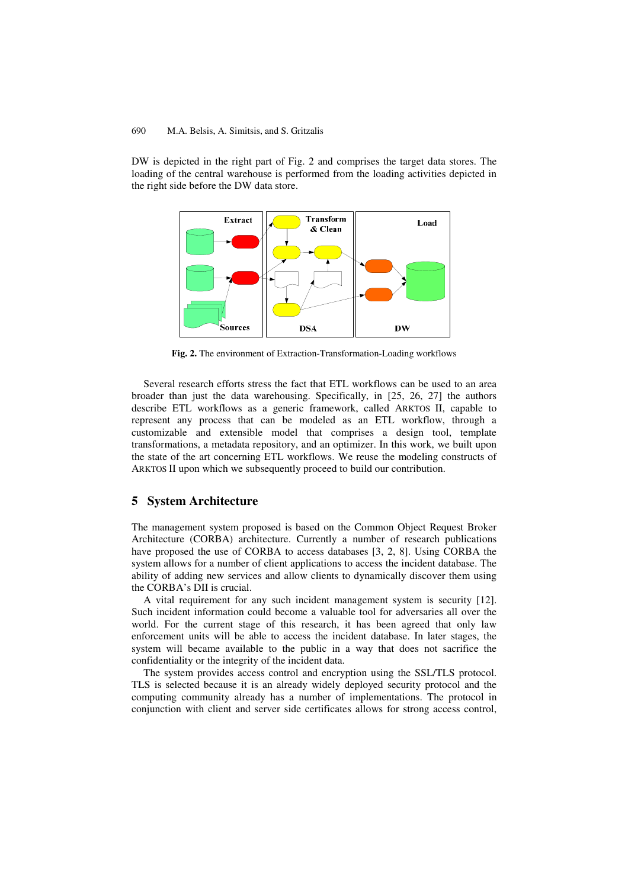DW is depicted in the right part of Fig. 2 and comprises the target data stores. The loading of the central warehouse is performed from the loading activities depicted in the right side before the DW data store.



**Fig. 2.** The environment of Extraction-Transformation-Loading workflows

Several research efforts stress the fact that ETL workflows can be used to an area broader than just the data warehousing. Specifically, in [25, 26, 27] the authors describe ETL workflows as a generic framework, called ARKTOS II, capable to represent any process that can be modeled as an ETL workflow, through a customizable and extensible model that comprises a design tool, template transformations, a metadata repository, and an optimizer. In this work, we built upon the state of the art concerning ETL workflows. We reuse the modeling constructs of ARKTOS II upon which we subsequently proceed to build our contribution.

### **5 System Architecture**

The management system proposed is based on the Common Object Request Broker Architecture (CORBA) architecture. Currently a number of research publications have proposed the use of CORBA to access databases [3, 2, 8]. Using CORBA the system allows for a number of client applications to access the incident database. The ability of adding new services and allow clients to dynamically discover them using the CORBA's DII is crucial.

A vital requirement for any such incident management system is security [12]. Such incident information could become a valuable tool for adversaries all over the world. For the current stage of this research, it has been agreed that only law enforcement units will be able to access the incident database. In later stages, the system will became available to the public in a way that does not sacrifice the confidentiality or the integrity of the incident data.

The system provides access control and encryption using the SSL/TLS protocol. TLS is selected because it is an already widely deployed security protocol and the computing community already has a number of implementations. The protocol in conjunction with client and server side certificates allows for strong access control,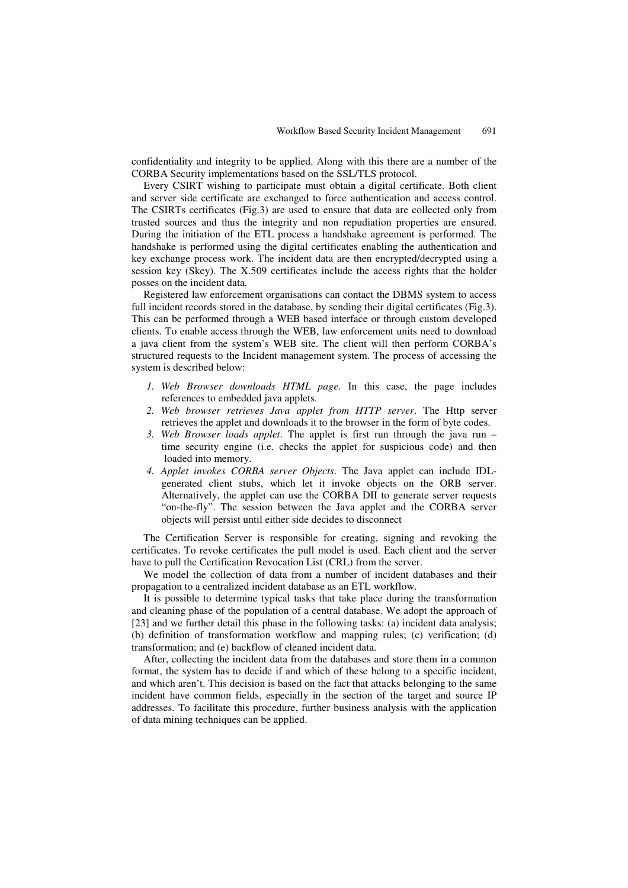confidentiality and integrity to be applied. Along with this there are a number of the CORBA Security implementations based on the SSL/TLS protocol.

Every CSIRT wishing to participate must obtain a digital certificate. Both client and server side certificate are exchanged to force authentication and access control. The CSIRTs certificates (Fig.3) are used to ensure that data are collected only from trusted sources and thus the integrity and non repudiation properties are ensured. During the initiation of the ETL process a handshake agreement is performed. The handshake is performed using the digital certificates enabling the authentication and key exchange process work. The incident data are then encrypted/decrypted using a session key (Skey). The X.509 certificates include the access rights that the holder posses on the incident data.

Registered law enforcement organisations can contact the DBMS system to access full incident records stored in the database, by sending their digital certificates (Fig.3). This can be performed through a WEB based interface or through custom developed clients. To enable access through the WEB, law enforcement units need to download a java client from the system's WEB site. The client will then perform CORBA's structured requests to the Incident management system. The process of accessing the system is described below:

- *1. Web Browser downloads HTML page*. In this case, the page includes references to embedded java applets.
- *2. Web browser retrieves Java applet from HTTP server*. The Http server retrieves the applet and downloads it to the browser in the form of byte codes.
- *3. Web Browser loads applet*. The applet is first run through the java run time security engine (i.e. checks the applet for suspicious code) and then loaded into memory.
- *4. Applet invokes CORBA server Objects*. The Java applet can include IDLgenerated client stubs, which let it invoke objects on the ORB server. Alternatively, the applet can use the CORBA DII to generate server requests "on-the-fly". The session between the Java applet and the CORBA server objects will persist until either side decides to disconnect

The Certification Server is responsible for creating, signing and revoking the certificates. To revoke certificates the pull model is used. Each client and the server have to pull the Certification Revocation List (CRL) from the server.

We model the collection of data from a number of incident databases and their propagation to a centralized incident database as an ETL workflow.

It is possible to determine typical tasks that take place during the transformation and cleaning phase of the population of a central database. We adopt the approach of [23] and we further detail this phase in the following tasks: (a) incident data analysis; (b) definition of transformation workflow and mapping rules; (c) verification; (d) transformation; and (e) backflow of cleaned incident data.

After, collecting the incident data from the databases and store them in a common format, the system has to decide if and which of these belong to a specific incident, and which aren't. This decision is based on the fact that attacks belonging to the same incident have common fields, especially in the section of the target and source IP addresses. To facilitate this procedure, further business analysis with the application of data mining techniques can be applied.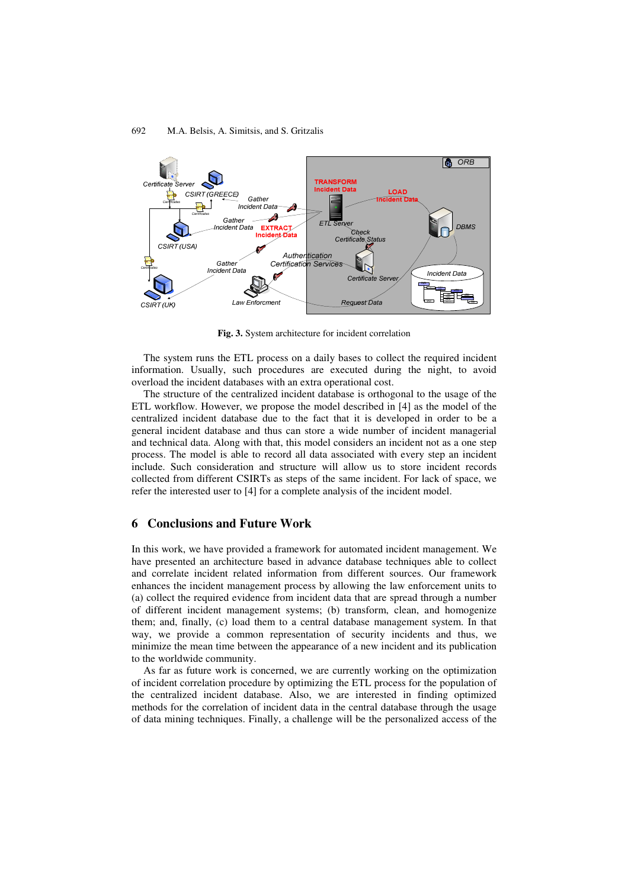

**Fig. 3.** System architecture for incident correlation

The system runs the ETL process on a daily bases to collect the required incident information. Usually, such procedures are executed during the night, to avoid overload the incident databases with an extra operational cost.

The structure of the centralized incident database is orthogonal to the usage of the ETL workflow. However, we propose the model described in [4] as the model of the centralized incident database due to the fact that it is developed in order to be a general incident database and thus can store a wide number of incident managerial and technical data. Along with that, this model considers an incident not as a one step process. The model is able to record all data associated with every step an incident include. Such consideration and structure will allow us to store incident records collected from different CSIRTs as steps of the same incident. For lack of space, we refer the interested user to [4] for a complete analysis of the incident model.

#### **6 Conclusions and Future Work**

In this work, we have provided a framework for automated incident management. We have presented an architecture based in advance database techniques able to collect and correlate incident related information from different sources. Our framework enhances the incident management process by allowing the law enforcement units to (a) collect the required evidence from incident data that are spread through a number of different incident management systems; (b) transform, clean, and homogenize them; and, finally, (c) load them to a central database management system. In that way, we provide a common representation of security incidents and thus, we minimize the mean time between the appearance of a new incident and its publication to the worldwide community.

As far as future work is concerned, we are currently working on the optimization of incident correlation procedure by optimizing the ETL process for the population of the centralized incident database. Also, we are interested in finding optimized methods for the correlation of incident data in the central database through the usage of data mining techniques. Finally, a challenge will be the personalized access of the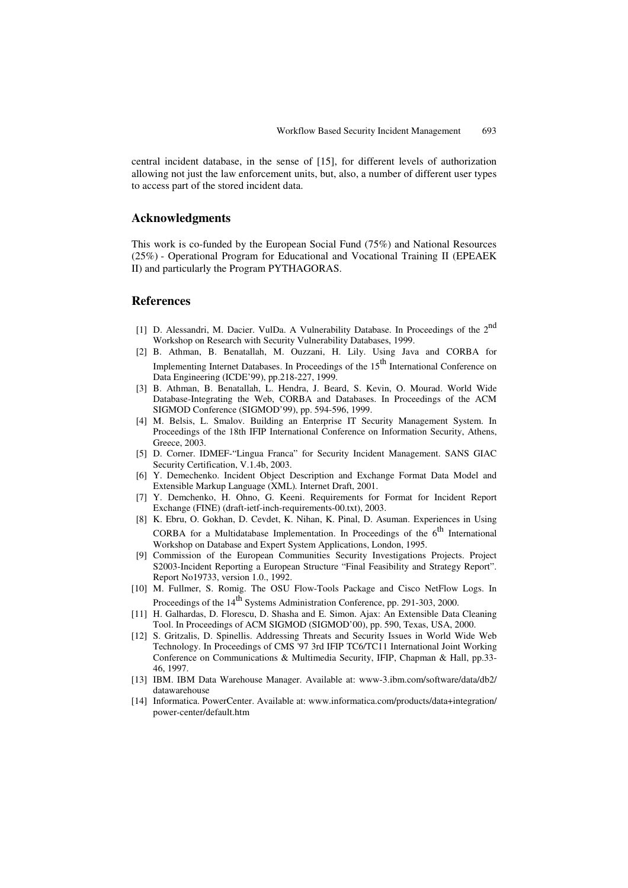central incident database, in the sense of [15], for different levels of authorization allowing not just the law enforcement units, but, also, a number of different user types to access part of the stored incident data.

#### **Acknowledgments**

This work is co-funded by the European Social Fund (75%) and National Resources (25%) - Operational Program for Educational and Vocational Training II (EPEAEK II) and particularly the Program PYTHAGORAS.

#### **References**

- [1] D. Alessandri, M. Dacier. VulDa. A Vulnerability Database. In Proceedings of the 2<sup>nd</sup> Workshop on Research with Security Vulnerability Databases, 1999.
- [2] B. Athman, B. Benatallah, M. Ouzzani, H. Lily. Using Java and CORBA for Implementing Internet Databases. In Proceedings of the  $15<sup>th</sup>$  International Conference on Data Engineering (ICDE'99), pp.218-227, 1999.
- [3] B. Athman, B. Benatallah, L. Hendra, J. Beard, S. Kevin, O. Mourad. World Wide Database-Integrating the Web, CORBA and Databases. In Proceedings of the ACM SIGMOD Conference (SIGMOD'99), pp. 594-596, 1999.
- [4] M. Belsis, L. Smalov. Building an Enterprise IT Security Management System. In Proceedings of the 18th IFIP International Conference on Information Security, Athens, Greece, 2003.
- [5] D. Corner. IDMEF-"Lingua Franca" for Security Incident Management. SANS GIAC Security Certification, V.1.4b, 2003.
- [6] Y. Demechenko. Incident Object Description and Exchange Format Data Model and Extensible Markup Language (XML)*.* Internet Draft, 2001.
- [7] Y. Demchenko, H. Ohno, G. Keeni. Requirements for Format for Incident Report Exchange (FINE) (draft-ietf-inch-requirements-00.txt), 2003.
- [8] K. Ebru, O. Gokhan, D. Cevdet, K. Nihan, K. Pinal, D. Asuman. Experiences in Using CORBA for a Multidatabase Implementation. In Proceedings of the  $6<sup>th</sup>$  International Workshop on Database and Expert System Applications, London, 1995.
- [9] Commission of the European Communities Security Investigations Projects. Project S2003-Incident Reporting a European Structure "Final Feasibility and Strategy Report". Report No19733, version 1.0., 1992.
- [10] M. Fullmer, S. Romig. The OSU Flow-Tools Package and Cisco NetFlow Logs. In Proceedings of the 14<sup>th</sup> Systems Administration Conference, pp. 291-303, 2000.
- [11] H. Galhardas, D. Florescu, D. Shasha and E. Simon. Ajax: An Extensible Data Cleaning Tool. In Proceedings of ACM SIGMOD (SIGMOD'00), pp. 590, Texas, USA, 2000.
- [12] S. Gritzalis, D. Spinellis. Addressing Threats and Security Issues in World Wide Web Technology. In Proceedings of CMS '97 3rd IFIP TC6/TC11 International Joint Working Conference on Communications & Multimedia Security, IFIP, Chapman & Hall, pp.33- 46, 1997.
- [13] IBM. IBM Data Warehouse Manager. Available at: www-3.ibm.com/software/data/db2/ datawarehouse
- [14] Informatica. PowerCenter. Available at: www.informatica.com/products/data+integration/ power-center/default.htm